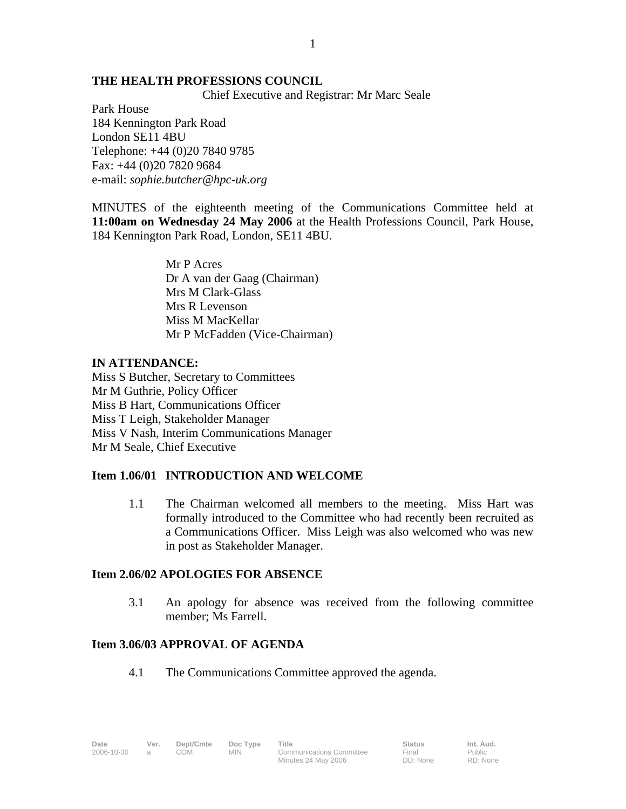#### **THE HEALTH PROFESSIONS COUNCIL**

Chief Executive and Registrar: Mr Marc Seale

1

Park House 184 Kennington Park Road London SE11 4BU Telephone: +44 (0)20 7840 9785 Fax: +44 (0)20 7820 9684 e-mail: *sophie.butcher@hpc-uk.org*

MINUTES of the eighteenth meeting of the Communications Committee held at **11:00am on Wednesday 24 May 2006** at the Health Professions Council, Park House, 184 Kennington Park Road, London, SE11 4BU.

> Mr P Acres Dr A van der Gaag (Chairman) Mrs M Clark-Glass Mrs R Levenson Miss M MacKellar Mr P McFadden (Vice-Chairman)

#### **IN ATTENDANCE:**

Miss S Butcher, Secretary to Committees Mr M Guthrie, Policy Officer Miss B Hart, Communications Officer Miss T Leigh, Stakeholder Manager Miss V Nash, Interim Communications Manager Mr M Seale, Chief Executive

### **Item 1.06/01 INTRODUCTION AND WELCOME**

1.1 The Chairman welcomed all members to the meeting. Miss Hart was formally introduced to the Committee who had recently been recruited as a Communications Officer. Miss Leigh was also welcomed who was new in post as Stakeholder Manager.

### **Item 2.06/02 APOLOGIES FOR ABSENCE**

3.1 An apology for absence was received from the following committee member; Ms Farrell.

#### **Item 3.06/03 APPROVAL OF AGENDA**

4.1 The Communications Committee approved the agenda.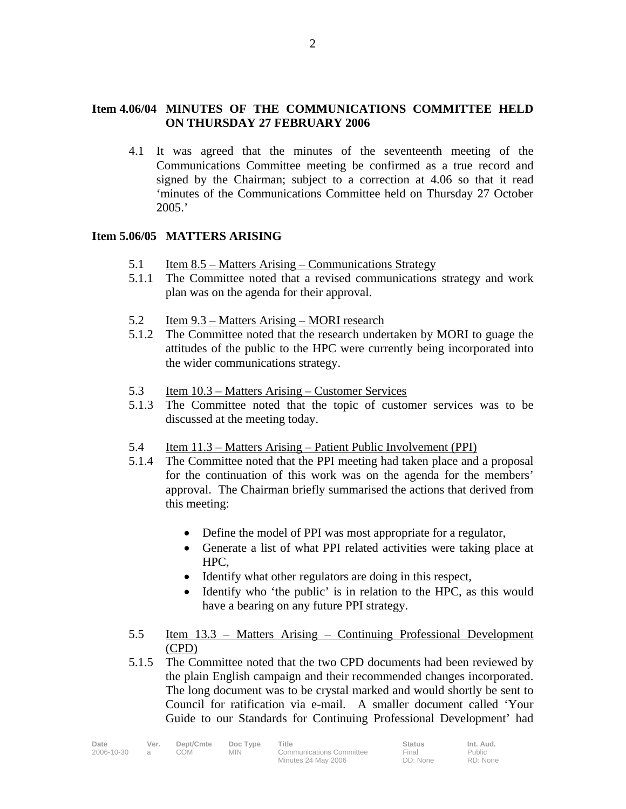# **Item 4.06/04 MINUTES OF THE COMMUNICATIONS COMMITTEE HELD ON THURSDAY 27 FEBRUARY 2006**

4.1 It was agreed that the minutes of the seventeenth meeting of the Communications Committee meeting be confirmed as a true record and signed by the Chairman; subject to a correction at 4.06 so that it read 'minutes of the Communications Committee held on Thursday 27 October 2005.'

# **Item 5.06/05 MATTERS ARISING**

- 5.1 Item 8.5 Matters Arising Communications Strategy
- 5.1.1 The Committee noted that a revised communications strategy and work plan was on the agenda for their approval.
- 5.2 Item 9.3 Matters Arising MORI research
- 5.1.2 The Committee noted that the research undertaken by MORI to guage the attitudes of the public to the HPC were currently being incorporated into the wider communications strategy.
- 5.3 Item 10.3 Matters Arising Customer Services
- 5.1.3 The Committee noted that the topic of customer services was to be discussed at the meeting today.
- 5.4 Item 11.3 Matters Arising Patient Public Involvement (PPI)
- 5.1.4 The Committee noted that the PPI meeting had taken place and a proposal for the continuation of this work was on the agenda for the members' approval. The Chairman briefly summarised the actions that derived from this meeting:
	- Define the model of PPI was most appropriate for a regulator,
	- Generate a list of what PPI related activities were taking place at HPC,
	- Identify what other regulators are doing in this respect,
	- Identify who 'the public' is in relation to the HPC, as this would have a bearing on any future PPI strategy.
- 5.5 Item 13.3 Matters Arising Continuing Professional Development (CPD)
- 5.1.5 The Committee noted that the two CPD documents had been reviewed by the plain English campaign and their recommended changes incorporated. The long document was to be crystal marked and would shortly be sent to Council for ratification via e-mail. A smaller document called 'Your Guide to our Standards for Continuing Professional Development' had

| Date       | Ver. | Dept/Cmte | Doc Type | <b>Title</b>                    | <b>Status</b> | Int. Aud. |
|------------|------|-----------|----------|---------------------------------|---------------|-----------|
| 2006-10-30 |      | MOC       | MIN.     | <b>Communications Committee</b> | Final         | Public    |
|            |      |           |          | Minutes 24 May 2006             | DD: None      | RD: None  |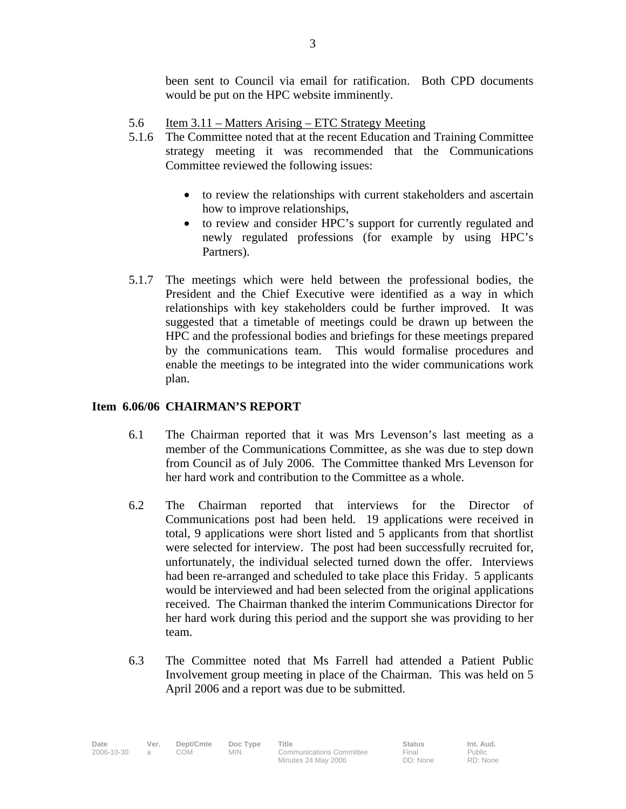been sent to Council via email for ratification. Both CPD documents would be put on the HPC website imminently.

- 5.6 Item 3.11 Matters Arising ETC Strategy Meeting
- 5.1.6 The Committee noted that at the recent Education and Training Committee strategy meeting it was recommended that the Communications Committee reviewed the following issues:
	- to review the relationships with current stakeholders and ascertain how to improve relationships,
	- to review and consider HPC's support for currently regulated and newly regulated professions (for example by using HPC's Partners).
- 5.1.7 The meetings which were held between the professional bodies, the President and the Chief Executive were identified as a way in which relationships with key stakeholders could be further improved. It was suggested that a timetable of meetings could be drawn up between the HPC and the professional bodies and briefings for these meetings prepared by the communications team. This would formalise procedures and enable the meetings to be integrated into the wider communications work plan.

# **Item 6.06/06 CHAIRMAN'S REPORT**

- 6.1 The Chairman reported that it was Mrs Levenson's last meeting as a member of the Communications Committee, as she was due to step down from Council as of July 2006. The Committee thanked Mrs Levenson for her hard work and contribution to the Committee as a whole.
- 6.2 The Chairman reported that interviews for the Director of Communications post had been held. 19 applications were received in total, 9 applications were short listed and 5 applicants from that shortlist were selected for interview. The post had been successfully recruited for, unfortunately, the individual selected turned down the offer. Interviews had been re-arranged and scheduled to take place this Friday. 5 applicants would be interviewed and had been selected from the original applications received. The Chairman thanked the interim Communications Director for her hard work during this period and the support she was providing to her team.
- 6.3 The Committee noted that Ms Farrell had attended a Patient Public Involvement group meeting in place of the Chairman. This was held on 5 April 2006 and a report was due to be submitted.

Final DD: None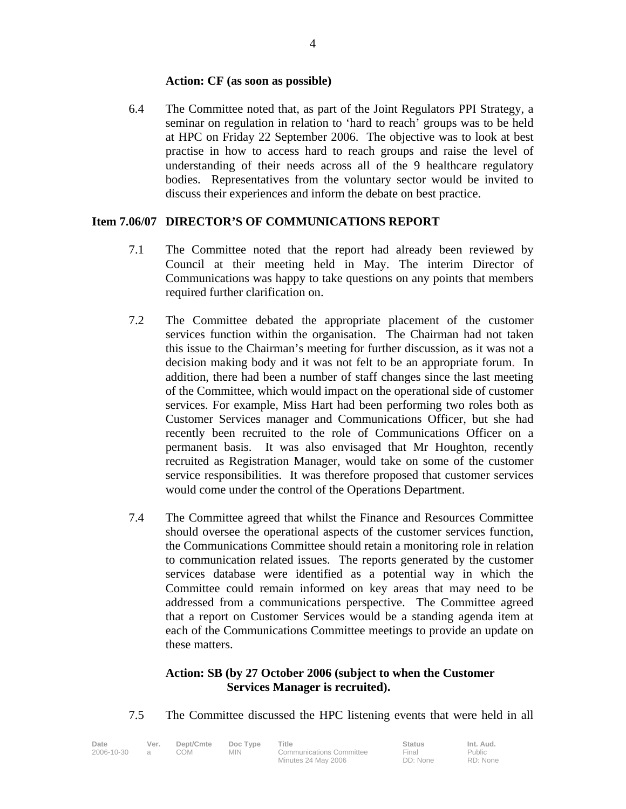### **Action: CF (as soon as possible)**

6.4 The Committee noted that, as part of the Joint Regulators PPI Strategy, a seminar on regulation in relation to 'hard to reach' groups was to be held at HPC on Friday 22 September 2006. The objective was to look at best practise in how to access hard to reach groups and raise the level of understanding of their needs across all of the 9 healthcare regulatory bodies. Representatives from the voluntary sector would be invited to discuss their experiences and inform the debate on best practice.

### **Item 7.06/07 DIRECTOR'S OF COMMUNICATIONS REPORT**

- 7.1 The Committee noted that the report had already been reviewed by Council at their meeting held in May. The interim Director of Communications was happy to take questions on any points that members required further clarification on.
- 7.2 The Committee debated the appropriate placement of the customer services function within the organisation. The Chairman had not taken this issue to the Chairman's meeting for further discussion, as it was not a decision making body and it was not felt to be an appropriate forum. In addition, there had been a number of staff changes since the last meeting of the Committee, which would impact on the operational side of customer services. For example, Miss Hart had been performing two roles both as Customer Services manager and Communications Officer, but she had recently been recruited to the role of Communications Officer on a permanent basis. It was also envisaged that Mr Houghton, recently recruited as Registration Manager, would take on some of the customer service responsibilities. It was therefore proposed that customer services would come under the control of the Operations Department.
- 7.4 The Committee agreed that whilst the Finance and Resources Committee should oversee the operational aspects of the customer services function, the Communications Committee should retain a monitoring role in relation to communication related issues. The reports generated by the customer services database were identified as a potential way in which the Committee could remain informed on key areas that may need to be addressed from a communications perspective. The Committee agreed that a report on Customer Services would be a standing agenda item at each of the Communications Committee meetings to provide an update on these matters.

# **Action: SB (by 27 October 2006 (subject to when the Customer Services Manager is recruited).**

7.5 The Committee discussed the HPC listening events that were held in all

| Date       | Ver. | Dept/Cmte | Doc Type | Title                           | <b>Status</b> | Int. Aud. |
|------------|------|-----------|----------|---------------------------------|---------------|-----------|
| 2006-10-30 |      | COM       | MIN.     | <b>Communications Committee</b> | Final         | Public    |
|            |      |           |          | Minutes 24 May 2006             | DD: None      | RD: None  |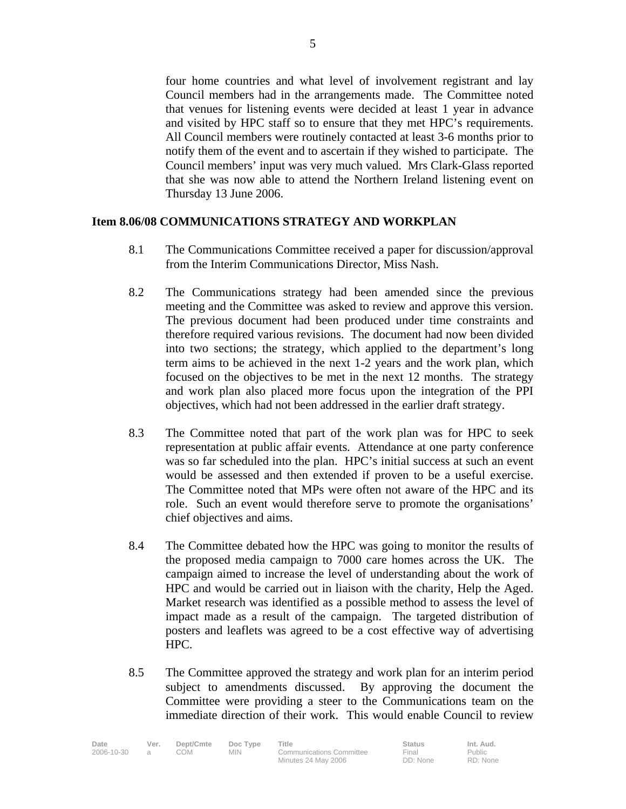four home countries and what level of involvement registrant and lay Council members had in the arrangements made. The Committee noted that venues for listening events were decided at least 1 year in advance and visited by HPC staff so to ensure that they met HPC's requirements. All Council members were routinely contacted at least 3-6 months prior to notify them of the event and to ascertain if they wished to participate. The Council members' input was very much valued. Mrs Clark-Glass reported that she was now able to attend the Northern Ireland listening event on Thursday 13 June 2006.

### **Item 8.06/08 COMMUNICATIONS STRATEGY AND WORKPLAN**

- 8.1 The Communications Committee received a paper for discussion/approval from the Interim Communications Director, Miss Nash.
- 8.2 The Communications strategy had been amended since the previous meeting and the Committee was asked to review and approve this version. The previous document had been produced under time constraints and therefore required various revisions. The document had now been divided into two sections; the strategy, which applied to the department's long term aims to be achieved in the next 1-2 years and the work plan, which focused on the objectives to be met in the next 12 months. The strategy and work plan also placed more focus upon the integration of the PPI objectives, which had not been addressed in the earlier draft strategy.
- 8.3 The Committee noted that part of the work plan was for HPC to seek representation at public affair events. Attendance at one party conference was so far scheduled into the plan. HPC's initial success at such an event would be assessed and then extended if proven to be a useful exercise. The Committee noted that MPs were often not aware of the HPC and its role. Such an event would therefore serve to promote the organisations' chief objectives and aims.
- 8.4 The Committee debated how the HPC was going to monitor the results of the proposed media campaign to 7000 care homes across the UK. The campaign aimed to increase the level of understanding about the work of HPC and would be carried out in liaison with the charity, Help the Aged. Market research was identified as a possible method to assess the level of impact made as a result of the campaign. The targeted distribution of posters and leaflets was agreed to be a cost effective way of advertising HPC.
- 8.5 The Committee approved the strategy and work plan for an interim period subject to amendments discussed. By approving the document the Committee were providing a steer to the Communications team on the immediate direction of their work. This would enable Council to review

| Date       | Ver. | Dept/Cmte | Doc Type | Title                    | <b>Status</b> | Int. Aud. |
|------------|------|-----------|----------|--------------------------|---------------|-----------|
| 2006-10-30 |      | MOC       | MIN.     | Communications Committee | Final         | Public    |
|            |      |           |          | Minutes 24 May 2006      | DD: None      | RD: None  |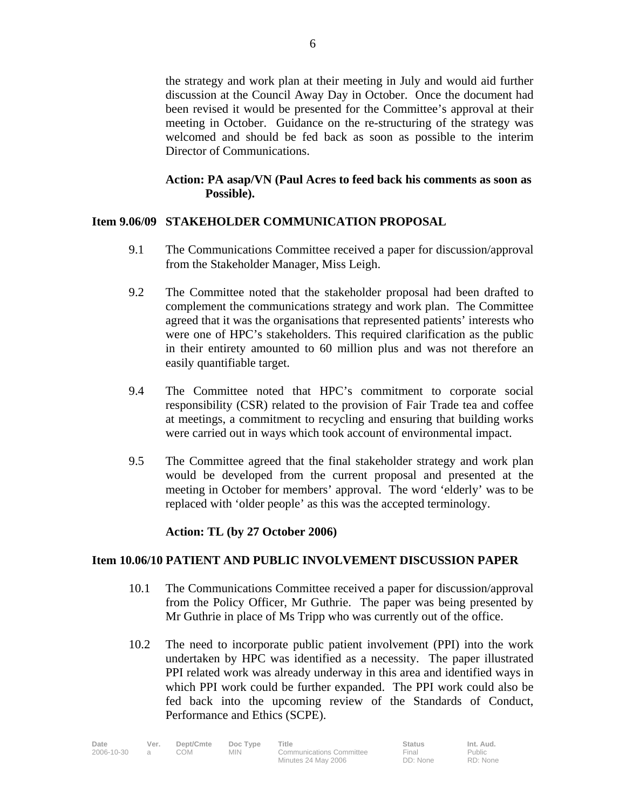the strategy and work plan at their meeting in July and would aid further discussion at the Council Away Day in October. Once the document had been revised it would be presented for the Committee's approval at their meeting in October. Guidance on the re-structuring of the strategy was welcomed and should be fed back as soon as possible to the interim Director of Communications.

## **Action: PA asap/VN (Paul Acres to feed back his comments as soon as Possible).**

### **Item 9.06/09 STAKEHOLDER COMMUNICATION PROPOSAL**

- 9.1 The Communications Committee received a paper for discussion/approval from the Stakeholder Manager, Miss Leigh.
- 9.2 The Committee noted that the stakeholder proposal had been drafted to complement the communications strategy and work plan. The Committee agreed that it was the organisations that represented patients' interests who were one of HPC's stakeholders. This required clarification as the public in their entirety amounted to 60 million plus and was not therefore an easily quantifiable target.
- 9.4 The Committee noted that HPC's commitment to corporate social responsibility (CSR) related to the provision of Fair Trade tea and coffee at meetings, a commitment to recycling and ensuring that building works were carried out in ways which took account of environmental impact.
- 9.5 The Committee agreed that the final stakeholder strategy and work plan would be developed from the current proposal and presented at the meeting in October for members' approval. The word 'elderly' was to be replaced with 'older people' as this was the accepted terminology.

### **Action: TL (by 27 October 2006)**

### **Item 10.06/10 PATIENT AND PUBLIC INVOLVEMENT DISCUSSION PAPER**

- 10.1 The Communications Committee received a paper for discussion/approval from the Policy Officer, Mr Guthrie. The paper was being presented by Mr Guthrie in place of Ms Tripp who was currently out of the office.
- 10.2 The need to incorporate public patient involvement (PPI) into the work undertaken by HPC was identified as a necessity. The paper illustrated PPI related work was already underway in this area and identified ways in which PPI work could be further expanded. The PPI work could also be fed back into the upcoming review of the Standards of Conduct, Performance and Ethics (SCPE).

| Date       | Ver. | Dept/Cmte | Doc Type | <b>Title</b>                    | <b>Status</b> | Int. Aud. |
|------------|------|-----------|----------|---------------------------------|---------------|-----------|
| 2006-10-30 |      | MOG       | MIN.     | <b>Communications Committee</b> | Final         | Public    |
|            |      |           |          | Minutes 24 May 2006             | DD: None      | RD: None  |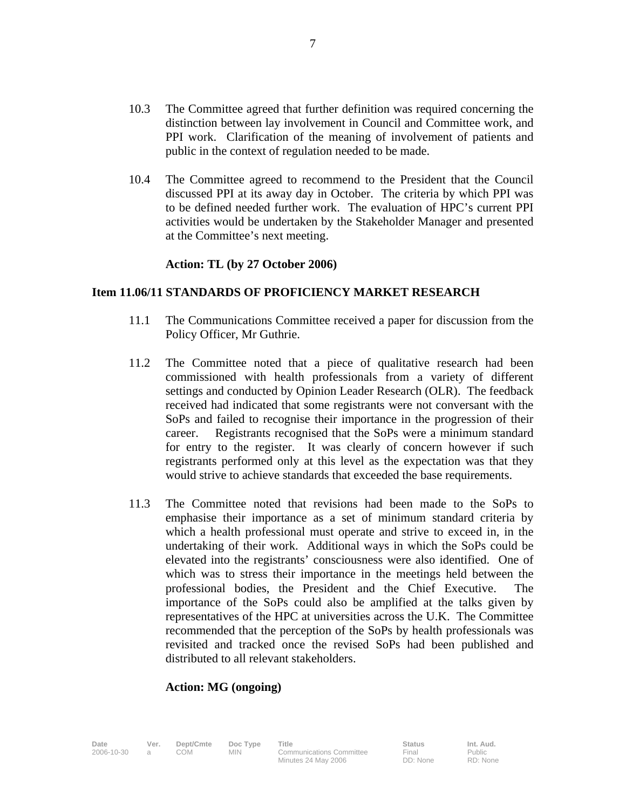- 10.3 The Committee agreed that further definition was required concerning the distinction between lay involvement in Council and Committee work, and PPI work. Clarification of the meaning of involvement of patients and public in the context of regulation needed to be made.
- 10.4 The Committee agreed to recommend to the President that the Council discussed PPI at its away day in October. The criteria by which PPI was to be defined needed further work. The evaluation of HPC's current PPI activities would be undertaken by the Stakeholder Manager and presented at the Committee's next meeting.

#### **Action: TL (by 27 October 2006)**

### **Item 11.06/11 STANDARDS OF PROFICIENCY MARKET RESEARCH**

- 11.1 The Communications Committee received a paper for discussion from the Policy Officer, Mr Guthrie.
- 11.2 The Committee noted that a piece of qualitative research had been commissioned with health professionals from a variety of different settings and conducted by Opinion Leader Research (OLR). The feedback received had indicated that some registrants were not conversant with the SoPs and failed to recognise their importance in the progression of their career. Registrants recognised that the SoPs were a minimum standard for entry to the register. It was clearly of concern however if such registrants performed only at this level as the expectation was that they would strive to achieve standards that exceeded the base requirements.
- 11.3 The Committee noted that revisions had been made to the SoPs to emphasise their importance as a set of minimum standard criteria by which a health professional must operate and strive to exceed in, in the undertaking of their work. Additional ways in which the SoPs could be elevated into the registrants' consciousness were also identified. One of which was to stress their importance in the meetings held between the professional bodies, the President and the Chief Executive. The importance of the SoPs could also be amplified at the talks given by representatives of the HPC at universities across the U.K. The Committee recommended that the perception of the SoPs by health professionals was revisited and tracked once the revised SoPs had been published and distributed to all relevant stakeholders.

### **Action: MG (ongoing)**

Date Ver. Dept/Cmte Doc Type Title **Status** Status Int. Aud. 2006-10-30 a COM MIN Communications Committee

Final DD: None